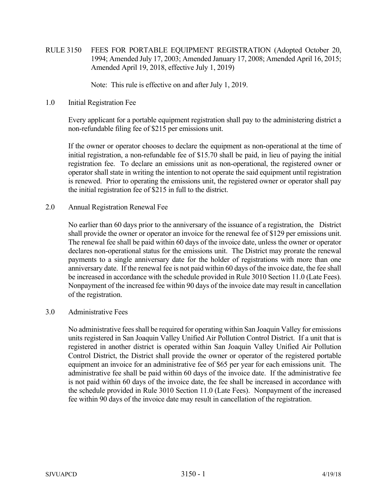RULE 3150 FEES FOR PORTABLE EQUIPMENT REGISTRATION (Adopted October 20, 1994; Amended July 17, 2003; Amended January 17, 2008; Amended April 16, 2015; Amended April 19, 2018, effective July 1, 2019)

Note: This rule is effective on and after July 1, 2019.

1.0 Initial Registration Fee

 Every applicant for a portable equipment registration shall pay to the administering district a non-refundable filing fee of \$215 per emissions unit.

 If the owner or operator chooses to declare the equipment as non-operational at the time of initial registration, a non-refundable fee of \$15.70 shall be paid, in lieu of paying the initial registration fee. To declare an emissions unit as non-operational, the registered owner or operator shall state in writing the intention to not operate the said equipment until registration is renewed. Prior to operating the emissions unit, the registered owner or operator shall pay the initial registration fee of \$215 in full to the district.

2.0 Annual Registration Renewal Fee

 No earlier than 60 days prior to the anniversary of the issuance of a registration, the District shall provide the owner or operator an invoice for the renewal fee of \$129 per emissions unit. The renewal fee shall be paid within 60 days of the invoice date, unless the owner or operator declares non-operational status for the emissions unit. The District may prorate the renewal payments to a single anniversary date for the holder of registrations with more than one anniversary date. If the renewal fee is not paid within 60 days of the invoice date, the fee shall be increased in accordance with the schedule provided in Rule 3010 Section 11.0 (Late Fees). Nonpayment of the increased fee within 90 days of the invoice date may result in cancellation of the registration.

## 3.0 Administrative Fees

 No administrative fees shall be required for operating within San Joaquin Valley for emissions units registered in San Joaquin Valley Unified Air Pollution Control District. If a unit that is registered in another district is operated within San Joaquin Valley Unified Air Pollution Control District, the District shall provide the owner or operator of the registered portable equipment an invoice for an administrative fee of \$65 per year for each emissions unit. The administrative fee shall be paid within 60 days of the invoice date. If the administrative fee is not paid within 60 days of the invoice date, the fee shall be increased in accordance with the schedule provided in Rule 3010 Section 11.0 (Late Fees). Nonpayment of the increased fee within 90 days of the invoice date may result in cancellation of the registration.